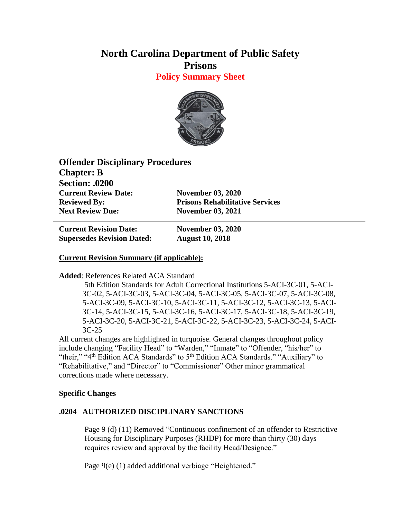## **North Carolina Department of Public Safety Prisons**

**Policy Summary Sheet**



**Offender Disciplinary Procedures Chapter: B Section: .0200 Current Review Date: November 03, 2020 Reviewed By: Prisons Rehabilitative Services Next Review Due: November 03, 2021**

**Current Revision Date: November 03, 2020 Supersedes Revision Dated: August 10, 2018**

## **Current Revision Summary (if applicable):**

**Added**: References Related ACA Standard

5th Edition Standards for Adult Correctional Institutions 5-ACI-3C-01, 5-ACI-3C-02, 5-ACI-3C-03, 5-ACI-3C-04, 5-ACI-3C-05, 5-ACI-3C-07, 5-ACI-3C-08, 5-ACI-3C-09, 5-ACI-3C-10, 5-ACI-3C-11, 5-ACI-3C-12, 5-ACI-3C-13, 5-ACI-3C-14, 5-ACI-3C-15, 5-ACI-3C-16, 5-ACI-3C-17, 5-ACI-3C-18, 5-ACI-3C-19, 5-ACI-3C-20, 5-ACI-3C-21, 5-ACI-3C-22, 5-ACI-3C-23, 5-ACI-3C-24, 5-ACI-3C-25

All current changes are highlighted in turquoise. General changes throughout policy include changing "Facility Head" to "Warden," "Inmate" to "Offender, "his/her" to "their," "4<sup>th</sup> Edition ACA Standards" to 5<sup>th</sup> Edition ACA Standards." "Auxiliary" to "Rehabilitative," and "Director" to "Commissioner" Other minor grammatical corrections made where necessary.

## **Specific Changes**

## **.0204 AUTHORIZED DISCIPLINARY SANCTIONS**

Page 9 (d) (11) Removed "Continuous confinement of an offender to Restrictive Housing for Disciplinary Purposes (RHDP) for more than thirty (30) days requires review and approval by the facility Head/Designee."

Page 9(e) (1) added additional verbiage "Heightened."